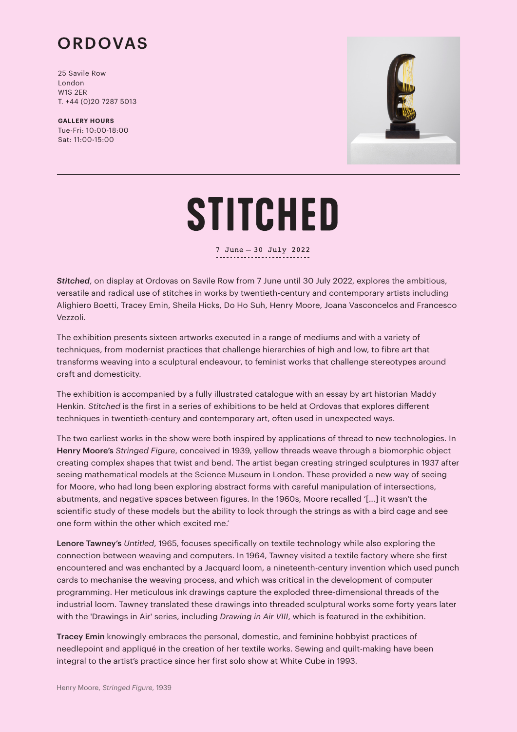

25 Savile Row London W1S 2ER T. +44 (0)20 7287 5013

**GALLERY HOURS** Tue-Fri: 10:00-18:00 Sat: 11:00-15:00



## **STITCHED**

7 June - 30 July 2022

*Stitched*, on display at Ordovas on Savile Row from 7 June until 30 July 2022, explores the ambitious, versatile and radical use of stitches in works by twentieth-century and contemporary artists including Alighiero Boetti, Tracey Emin, Sheila Hicks, Do Ho Suh, Henry Moore, Joana Vasconcelos and Francesco Vezzoli.

The exhibition presents sixteen artworks executed in a range of mediums and with a variety of techniques, from modernist practices that challenge hierarchies of high and low, to fibre art that transforms weaving into a sculptural endeavour, to feminist works that challenge stereotypes around craft and domesticity.

The exhibition is accompanied by a fully illustrated catalogue with an essay by art historian Maddy Henkin. *Stitched* is the first in a series of exhibitions to be held at Ordovas that explores different techniques in twentieth-century and contemporary art, often used in unexpected ways.

The two earliest works in the show were both inspired by applications of thread to new technologies. In Henry Moore's *Stringed Figure*, conceived in 1939, yellow threads weave through a biomorphic object creating complex shapes that twist and bend. The artist began creating stringed sculptures in 1937 after seeing mathematical models at the Science Museum in London. These provided a new way of seeing for Moore, who had long been exploring abstract forms with careful manipulation of intersections, abutments, and negative spaces between figures. In the 1960s, Moore recalled '[…] it wasn't the scientific study of these models but the ability to look through the strings as with a bird cage and see one form within the other which excited me.'

Lenore Tawney's *Untitled*, 1965, focuses specifically on textile technology while also exploring the connection between weaving and computers. In 1964, Tawney visited a textile factory where she first encountered and was enchanted by a Jacquard loom, a nineteenth-century invention which used punch cards to mechanise the weaving process, and which was critical in the development of computer programming. Her meticulous ink drawings capture the exploded three-dimensional threads of the industrial loom. Tawney translated these drawings into threaded sculptural works some forty years later with the 'Drawings in Air' series, including *Drawing in Air VIII*, which is featured in the exhibition.

Tracey Emin knowingly embraces the personal, domestic, and feminine hobbyist practices of needlepoint and appliqué in the creation of her textile works. Sewing and quilt-making have been integral to the artist's practice since her first solo show at White Cube in 1993.